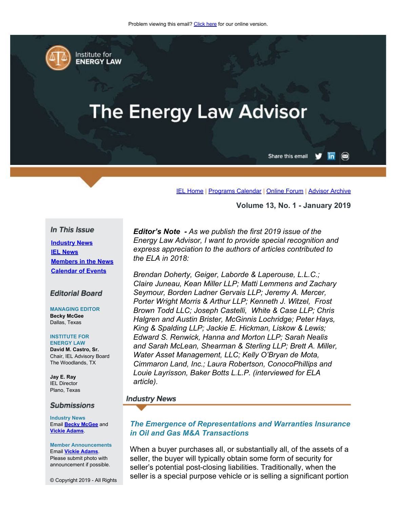<span id="page-0-0"></span>

Institute for **ENERGY LAW** 

# **The Energy Law Advisor**

Share this email  $\circledcirc$ in

[IEL Home](http://www.cailaw.org/institute-for-energy-law/index.html?utm_source=Informz&utm_medium=Email&utm_campaign=Event+Details) | [Programs Calendar](http://www.cailaw.org/institute-for-energy-law/programs-calendar.html?utm_source=Informz&utm_medium=Email&utm_campaign=Event+Details) | [Online Forum](https://www.linkedin.com/groups?gid=2330688&trk=myg_ugrp_ovr) | [Advisor Archive](http://www.cailaw.org/institute-for-energy-law/publications/energy-law-advisor.html?utm_source=Informz&utm_medium=Email&utm_campaign=Event+Details)

**Volume 13, No. 1 - January 2019**

## In This Issue

**[Industry News](#page-0-0) [IEL News](#page-0-0) [Members in the News](#page-0-0) [Calendar of Events](#page-0-0)**

## **Editorial Board**

**MANAGING EDITOR Becky McGee** Dallas, Texas

#### **INSTITUTE FOR**

**ENERGY LAW David M. Castro, Sr.** Chair, IEL Advisory Board The Woodlands, TX

**Jay E. Ray** IEL Director Plano, Texas

#### **Submissions**

**Industry News** Email **[Becky McGee](mailto:beckymcgee@charter.net)** and **[Vickie Adams](mailto:vadams@cailaw.org)**.

**Member Announcements** Email **[Vickie Adams](mailto:vadams@cailaw.org)**. Please submit photo with announcement if possible.

© Copyright 2019 - All Rights

*Editor's Note - As we publish the first 2019 issue of the Energy Law Advisor, I want to provide special recognition and express appreciation to the authors of articles contributed to the ELA in 2018:*

*Brendan Doherty, Geiger, Laborde & Laperouse, L.L.C.; Claire Juneau, Kean Miller LLP; Matti Lemmens and Zachary Seymour, Borden Ladner Gervais LLP; Jeremy A. Mercer, Porter Wright Morris & Arthur LLP; Kenneth J. Witzel, Frost Brown Todd LLC; Joseph Castelli, White & Case LLP; Chris Halgren and Austin Brister, McGinnis Lochridge; Peter Hays, King & Spalding LLP; Jackie E. Hickman, Liskow & Lewis; Edward S. Renwick, Hanna and Morton LLP; Sarah Nealis and Sarah McLean, Shearman & Sterling LLP; Brett A. Miller, Water Asset Management, LLC; Kelly O'Bryan de Mota, Cimmaron Land, Inc.; Laura Robertson, ConocoPhillips and Louie Layrisson, Baker Botts L.L.P. (interviewed for ELA article).*

### **Industry News**

# *The Emergence of Representations and Warranties Insurance in Oil and Gas M&A Transactions*

When a buyer purchases all, or substantially all, of the assets of a seller, the buyer will typically obtain some form of security for seller's potential post-closing liabilities. Traditionally, when the seller is a special purpose vehicle or is selling a significant portion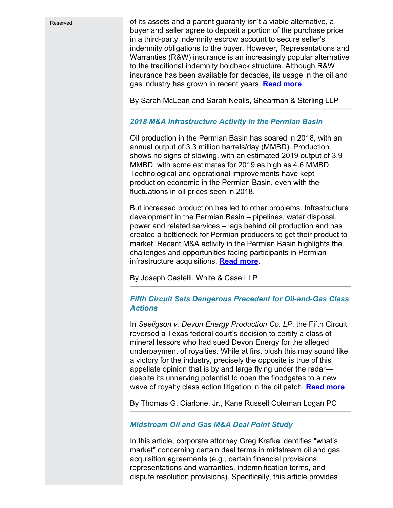Reserved

of its assets and a parent guaranty isn't a viable alternative, a buyer and seller agree to deposit a portion of the purchase price in a third-party indemnity escrow account to secure seller's indemnity obligations to the buyer. However, Representations and Warranties (R&W) insurance is an increasingly popular alternative to the traditional indemnity holdback structure. Although R&W insurance has been available for decades, its usage in the oil and gas industry has grown in recent years. **[Read more](http://www.cailaw.org/media/files/IEL/Publications/2019/mclean-nealis-vol13no1.pdf)**.

By Sarah McLean and Sarah Nealis, Shearman & Sterling LLP

# *2018 M&A Infrastructure Activity in the Permian Basin*

Oil production in the Permian Basin has soared in 2018, with an annual output of 3.3 million barrels/day (MMBD). Production shows no signs of slowing, with an estimated 2019 output of 3.9 MMBD, with some estimates for 2019 as high as 4.6 MMBD. Technological and operational improvements have kept production economic in the Permian Basin, even with the fluctuations in oil prices seen in 2018.

But increased production has led to other problems. Infrastructure development in the Permian Basin – pipelines, water disposal, power and related services – lags behind oil production and has created a bottleneck for Permian producers to get their product to market. Recent M&A activity in the Permian Basin highlights the challenges and opportunities facing participants in Permian infrastructure acquisitions. **[Read more](http://www.cailaw.org/media/files/IEL/Publications/2019/castelli-vol13no1.pdf)**.

By Joseph Castelli, White & Case LLP

# *Fifth Circuit Sets Dangerous Precedent for Oil-and-Gas Class Actions*

In *Seeligson v. Devon Energy Production Co. LP*, the Fifth Circuit reversed a Texas federal court's decision to certify a class of mineral lessors who had sued Devon Energy for the alleged underpayment of royalties. While at first blush this may sound like a victory for the industry, precisely the opposite is true of this appellate opinion that is by and large flying under the radar despite its unnerving potential to open the floodgates to a new wave of royalty class action litigation in the oil patch. **[Read more](http://www.cailaw.org/media/files/IEL/Publications/2019/ciarlone-vol13no1.pdf)**.

By Thomas G. Ciarlone, Jr., Kane Russell Coleman Logan PC

# *Midstream Oil and Gas M&A Deal Point Study*

In this article, corporate attorney Greg Krafka identifies "what's market" concerning certain deal terms in midstream oil and gas acquisition agreements (e.g., certain financial provisions, representations and warranties, indemnification terms, and dispute resolution provisions). Specifically, this article provides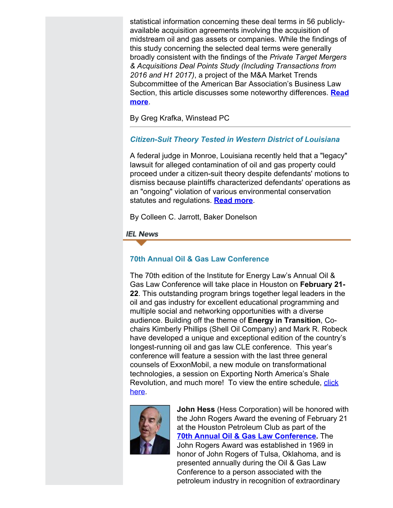statistical information concerning these deal terms in 56 publiclyavailable acquisition agreements involving the acquisition of midstream oil and gas assets or companies. While the findings of this study concerning the selected deal terms were generally broadly consistent with the findings of the *Private Target Mergers & Acquisitions Deal Points Study (Including Transactions from 2016 and H1 2017)*, a project of the M&A Market Trends Subcommittee of the American Bar Association's Business Law Section, this article discusses some noteworthy differences. **[Read](http://www.cailaw.org/media/files/IEL/Publications/2019/krafka-vol13no1.pdf) [more](http://www.cailaw.org/media/files/IEL/Publications/2019/krafka-vol13no1.pdf)**.

By Greg Krafka, Winstead PC

# *Citizen-Suit Theory Tested in Western District of Louisiana*

A federal judge in Monroe, Louisiana recently held that a "legacy" lawsuit for alleged contamination of oil and gas property could proceed under a citizen-suit theory despite defendants' motions to dismiss because plaintiffs characterized defendants' operations as an "ongoing" violation of various environmental conservation statutes and regulations. **[Read more](http://www.cailaw.org/media/files/IEL/Publications/2019/jarrott-vol13no1.pdf)**.

By Colleen C. Jarrott, Baker Donelson

**IEL News** 

# **70th Annual Oil & Gas Law Conference**

The 70th edition of the Institute for Energy Law's Annual Oil & Gas Law Conference will take place in Houston on **February 21- 22**. This outstanding program brings together legal leaders in the oil and gas industry for excellent educational programming and multiple social and networking opportunities with a diverse audience. Building off the theme of **Energy in Transition**, Cochairs Kimberly Phillips (Shell Oil Company) and Mark R. Robeck have developed a unique and exceptional edition of the country's longest-running oil and gas law CLE conference. This year's conference will feature a session with the last three general counsels of ExxonMobil, a new module on transformational technologies, a session on Exporting North America's Shale Revolution, and much more! To view the entire schedule, [click](http://www.cailaw.org/institute-for-energy-law/events/2019/oil-gas-law-conference.html?utm_source=Informz&utm_medium=Email&utm_campaign=Event+Details) [here](http://www.cailaw.org/institute-for-energy-law/events/2019/oil-gas-law-conference.html?utm_source=Informz&utm_medium=Email&utm_campaign=Event+Details).



**John Hess** (Hess Corporation) will be honored with the John Rogers Award the evening of February 21 at the Houston Petroleum Club as part of the **70th [Annual Oil & Gas Law Conference.](http://cailaw.informz.net/z/cjUucD9taT03MjEyNjE5JnA9MSZ1PTc4MTA5NDA5MyZsaT01NDYzOTcyNg/index.html)** The John Rogers Award was established in 1969 in honor of John Rogers of Tulsa, Oklahoma, and is presented annually during the Oil & Gas Law Conference to a person associated with the petroleum industry in recognition of extraordinary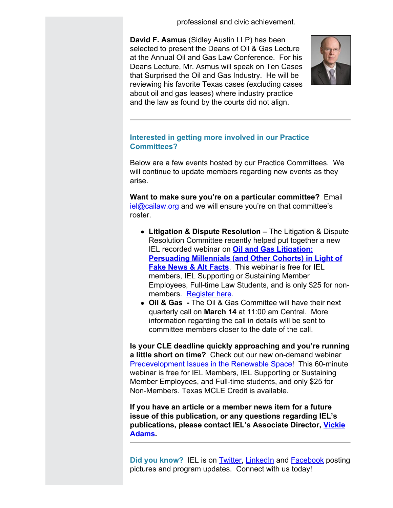professional and civic achievement.

**David F. Asmus** (Sidley Austin LLP) has been selected to present the Deans of Oil & Gas Lecture at the Annual Oil and Gas Law Conference. For his Deans Lecture, Mr. Asmus will speak on Ten Cases that Surprised the Oil and Gas Industry. He will be reviewing his favorite Texas cases (excluding cases about oil and gas leases) where industry practice and the law as found by the courts did not align.



# **Interested in getting more involved in our Practice Committees?**

Below are a few events hosted by our Practice Committees. We will continue to update members regarding new events as they arise.

**Want to make sure you're on a particular committee?** Email [iel@cailaw.org](mailto:iel@cailaw.org) and we will ensure you're on that committee's roster.

- **Litigation & Dispute Resolution** The Litigation & Dispute Resolution Committee recently helped put together a new IEL recorded webinar on **[Oil and Gas Litigation:](http://www.cailaw.org/institute-for-energy-law/events/2018/oil-gas-litigation-webinar.html?utm_source=Informz&utm_medium=Email&utm_campaign=Event+Details) [Persuading Millennials \(and Other Cohorts\) in Light of](http://www.cailaw.org/institute-for-energy-law/events/2018/oil-gas-litigation-webinar.html?utm_source=Informz&utm_medium=Email&utm_campaign=Event+Details) [Fake News & Alt Facts](http://www.cailaw.org/institute-for-energy-law/events/2018/oil-gas-litigation-webinar.html?utm_source=Informz&utm_medium=Email&utm_campaign=Event+Details)**. This webinar is free for IEL members, IEL Supporting or Sustaining Member Employees, Full-time Law Students, and is only \$25 for non-members. [Register here](https://www.cailaw.org/eventRegistration.html?e=2177&utm_source=Informz&utm_medium=Email&utm_campaign=Event+Details).
- **Oil & Gas** The Oil & Gas Committee will have their next quarterly call on **March 14** at 11:00 am Central. More information regarding the call in details will be sent to committee members closer to the date of the call.

**Is your CLE deadline quickly approaching and you're running a little short on time?** Check out our new on-demand webinar [Predevelopment Issues in the Renewable Space!](http://www.cailaw.org/institute-for-energy-law/events/2018/predevelopment-issues-webinar.html?utm_source=Informz&utm_medium=Email&utm_campaign=Event+Details) This 60-minute webinar is free for IEL Members, IEL Supporting or Sustaining Member Employees, and Full-time students, and only \$25 for Non-Members. Texas MCLE Credit is available.

**If you have an article or a member news item for a future issue of this publication, or any questions regarding IEL's publications, please contact IEL's Associate Director, [Vickie](mailto:vadams@cailaw.org?subject=Publications) [Adams.](mailto:vadams@cailaw.org?subject=Publications)**

**Did you know?** IEL is on **Twitter**, [LinkedIn](https://www.linkedin.com/groups/2330688) and **Facebook** posting pictures and program updates. Connect with us today!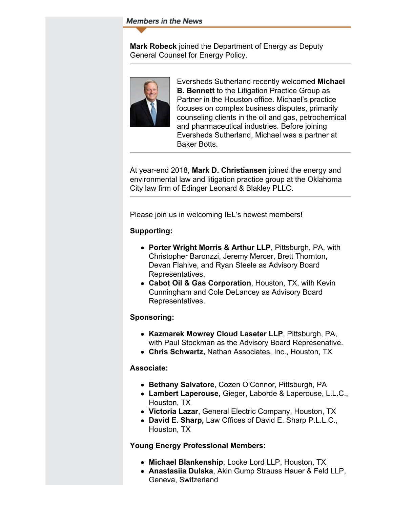# **Members in the News**

**Mark Robeck** joined the Department of Energy as Deputy General Counsel for Energy Policy.



Eversheds Sutherland recently welcomed **Michael B. Bennett** to the Litigation Practice Group as Partner in the Houston office. Michael's practice focuses on complex business disputes, primarily counseling clients in the oil and gas, petrochemical and pharmaceutical industries. Before joining Eversheds Sutherland, Michael was a partner at Baker Botts.

At year-end 2018, **Mark D. Christiansen** joined the energy and environmental law and litigation practice group at the Oklahoma City law firm of Edinger Leonard & Blakley PLLC.

Please join us in welcoming IEL's newest members!

# **Supporting:**

- **Porter Wright Morris & Arthur LLP**, Pittsburgh, PA, with Christopher Baronzzi, Jeremy Mercer, Brett Thornton, Devan Flahive, and Ryan Steele as Advisory Board Representatives.
- **Cabot Oil & Gas Corporation**, Houston, TX, with Kevin Cunningham and Cole DeLancey as Advisory Board Representatives.

# **Sponsoring:**

- **Kazmarek Mowrey Cloud Laseter LLP**, Pittsburgh, PA, with Paul Stockman as the Advisory Board Represenative.
- **Chris Schwartz,** Nathan Associates, Inc., Houston, TX

# **Associate:**

- **Bethany Salvatore**, Cozen O'Connor, Pittsburgh, PA
- **Lambert Laperouse,** Gieger, Laborde & Laperouse, L.L.C., Houston, TX
- **Victoria Lazar**, General Electric Company, Houston, TX
- **David E. Sharp,** Law Offices of David E. Sharp P.L.L.C., Houston, TX

# **Young Energy Professional Members:**

- **Michael Blankenship**, Locke Lord LLP, Houston, TX
- **Anastasiia Dulska**, Akin Gump Strauss Hauer & Feld LLP, Geneva, Switzerland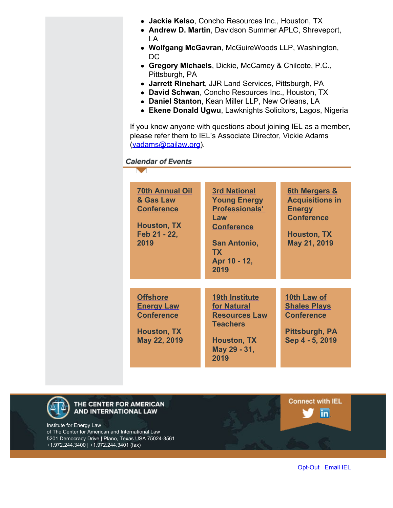- **Jackie Kelso**, Concho Resources Inc., Houston, TX
- **Andrew D. Martin**, Davidson Summer APLC, Shreveport, LA
- **Wolfgang McGavran**, McGuireWoods LLP, Washington, DC
- **Gregory Michaels**, Dickie, McCamey & Chilcote, P.C., Pittsburgh, PA
- **Jarrett Rinehart**, JJR Land Services, Pittsburgh, PA
- **David Schwan**, Concho Resources Inc., Houston, TX
- **Daniel Stanton**, Kean Miller LLP, New Orleans, LA
- **Ekene Donald Ugwu**, Lawknights Solicitors, Lagos, Nigeria

If you know anyone with questions about joining IEL as a member, please refer them to IEL's Associate Director, Vickie Adams [\(vadams@cailaw.org](mailto:vadams@cailaw.org)).

# **Calendar of Events**

| <b>70th Annual Oil</b><br>& Gas Law<br><b>Conference</b><br><b>Houston, TX</b><br>Feb 21 - 22,<br>2019 | <b>3rd National</b><br><b>Young Energy</b><br><b>Professionals'</b><br><b>Law</b><br><b>Conference</b><br><b>San Antonio,</b><br><b>TX</b><br>Apr 10 - 12,<br>2019 | <b>6th Mergers &amp;</b><br><b>Acquisitions in</b><br><b>Energy</b><br><b>Conference</b><br><b>Houston, TX</b><br>May 21, 2019 |
|--------------------------------------------------------------------------------------------------------|--------------------------------------------------------------------------------------------------------------------------------------------------------------------|--------------------------------------------------------------------------------------------------------------------------------|
| <b>Offshore</b><br><b>Energy Law</b><br><b>Conference</b><br><b>Houston, TX</b><br>May 22, 2019        | <b>19th Institute</b><br>for Natural<br><b>Resources Law</b><br><b>Teachers</b><br><b>Houston, TX</b><br>May 29 - 31,<br>2019                                      | 10th Law of<br><b>Shales Plays</b><br><b>Conference</b><br><b>Pittsburgh, PA</b><br>Sep 4 - 5, 2019                            |



#### THE CENTER FOR AMERICAN AND INTERNATIONAL LAW

Institute for Energy Law of The Center for American and International Law 5201 Democracy Drive | Plano, Texas USA 75024-3561 +1.972.244.3400 | +1.972.244.3401 (fax)

[Opt-Out](#page-0-0) | [Email IEL](mailto:iel@cailaw.org)

**Connect with IEL** 

in.